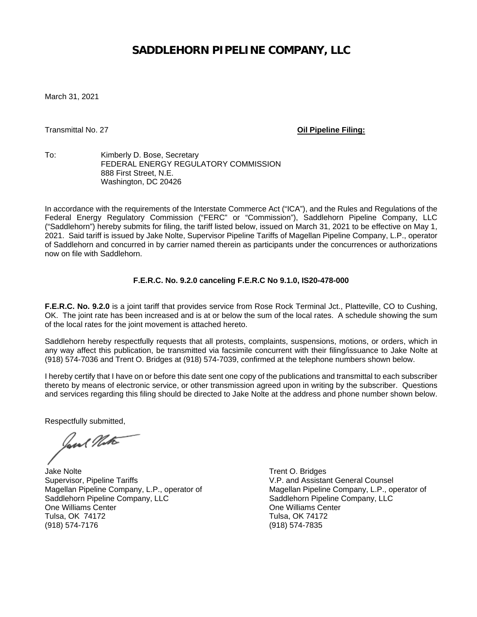## **SADDLEHORN PIPELINE COMPANY, LLC**

March 31, 2021

Transmittal No. 27 **Oil Pipeline Filing:**

To: Kimberly D. Bose, Secretary FEDERAL ENERGY REGULATORY COMMISSION 888 First Street, N.E. Washington, DC 20426

In accordance with the requirements of the Interstate Commerce Act ("ICA"), and the Rules and Regulations of the Federal Energy Regulatory Commission ("FERC" or "Commission"), Saddlehorn Pipeline Company, LLC ("Saddlehorn") hereby submits for filing, the tariff listed below, issued on March 31, 2021 to be effective on May 1, 2021. Said tariff is issued by Jake Nolte, Supervisor Pipeline Tariffs of Magellan Pipeline Company, L.P., operator of Saddlehorn and concurred in by carrier named therein as participants under the concurrences or authorizations now on file with Saddlehorn.

## **F.E.R.C. No. 9.2.0 canceling F.E.R.C No 9.1.0, IS20-478-000**

**F.E.R.C. No. 9.2.0** is a joint tariff that provides service from Rose Rock Terminal Jct., Platteville, CO to Cushing, OK. The joint rate has been increased and is at or below the sum of the local rates. A schedule showing the sum of the local rates for the joint movement is attached hereto.

Saddlehorn hereby respectfully requests that all protests, complaints, suspensions, motions, or orders, which in any way affect this publication, be transmitted via facsimile concurrent with their filing/issuance to Jake Nolte at (918) 574-7036 and Trent O. Bridges at (918) 574-7039, confirmed at the telephone numbers shown below.

I hereby certify that I have on or before this date sent one copy of the publications and transmittal to each subscriber thereto by means of electronic service, or other transmission agreed upon in writing by the subscriber. Questions and services regarding this filing should be directed to Jake Nolte at the address and phone number shown below.

Respectfully submitted,

Jane Note

Jake Nolte<br>
Supervisor, Pipeline Tariffs<br>
Supervisor, Pipeline Tariffs<br>
Trent O. Bridges Magellan Pipeline Company, L.P., operator of Magellan Pipeline Company, L.P., operator of Magellan Pipeline Company, LLC<br>Saddlehorn Pipeline Company, LLC Saddlehorn Pipeline Company, LLC One Williams Center **Canadian Center Cone Williams Center** Center Center Center Tulsa. OK 74172 Tulsa, OK 74172 (918) 574-7176 (918) 574-7835

V.P. and Assistant General Counsel<br>Magellan Pipeline Company, L.P., operator of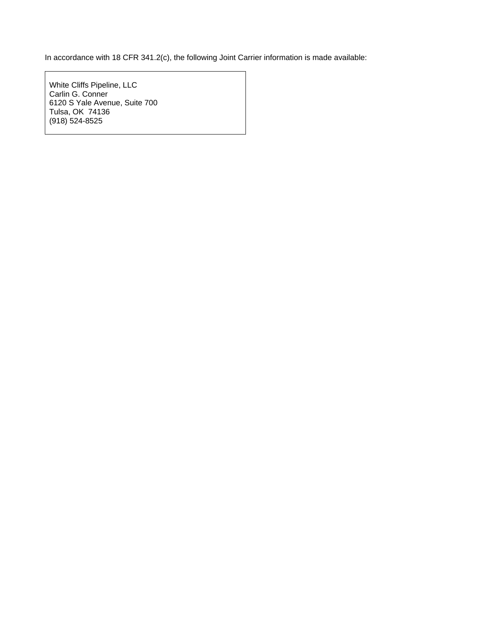In accordance with 18 CFR 341.2(c), the following Joint Carrier information is made available:

White Cliffs Pipeline, LLC Carlin G. Conner 6120 S Yale Avenue, Suite 700 Tulsa, OK 74136 (918) 524-8525